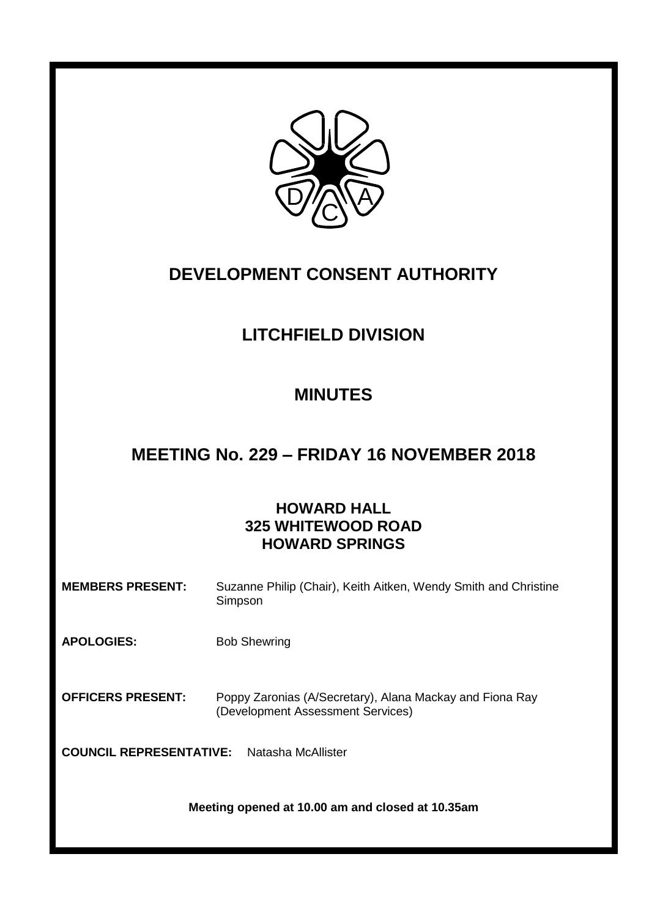

# **DEVELOPMENT CONSENT AUTHORITY**

# **LITCHFIELD DIVISION**

## **MINUTES**

## **MEETING No. 229 – FRIDAY 16 NOVEMBER 2018**

## **HOWARD HALL 325 WHITEWOOD ROAD HOWARD SPRINGS**

| <b>MEMBERS PRESENT:</b>                              | Suzanne Philip (Chair), Keith Aitken, Wendy Smith and Christine<br>Simpson                    |
|------------------------------------------------------|-----------------------------------------------------------------------------------------------|
| <b>APOLOGIES:</b>                                    | <b>Bob Shewring</b>                                                                           |
| <b>OFFICERS PRESENT:</b>                             | Poppy Zaronias (A/Secretary), Alana Mackay and Fiona Ray<br>(Development Assessment Services) |
| <b>COUNCIL REPRESENTATIVE:</b><br>Natasha McAllister |                                                                                               |
| Meeting opened at 10.00 am and closed at 10.35am     |                                                                                               |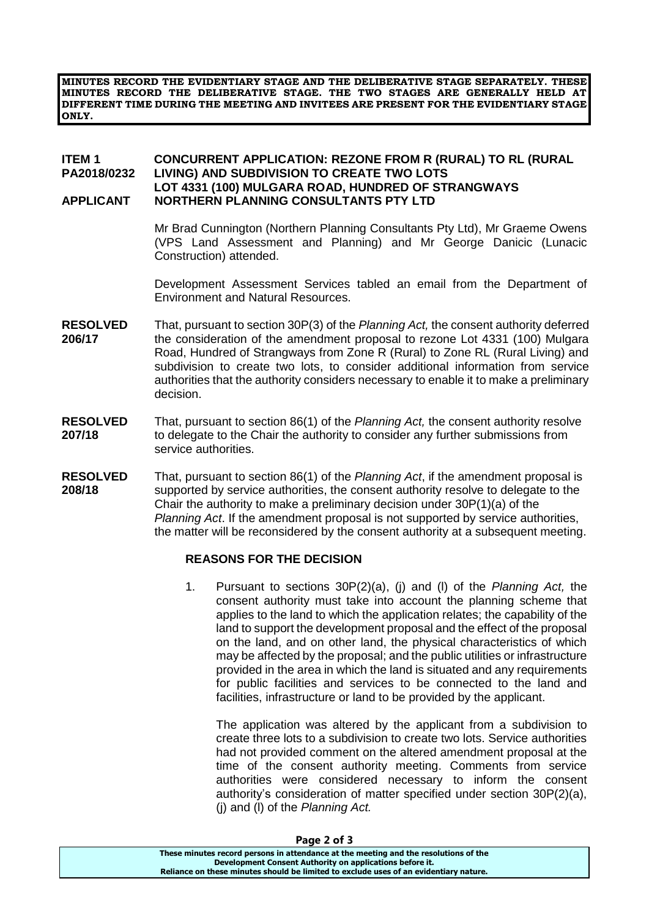**MINUTES RECORD THE EVIDENTIARY STAGE AND THE DELIBERATIVE STAGE SEPARATELY. THESE MINUTES RECORD THE DELIBERATIVE STAGE. THE TWO STAGES ARE GENERALLY HELD AT DIFFERENT TIME DURING THE MEETING AND INVITEES ARE PRESENT FOR THE EVIDENTIARY STAGE ONLY.**

### **ITEM 1 CONCURRENT APPLICATION: REZONE FROM R (RURAL) TO RL (RURAL PA2018/0232 LIVING) AND SUBDIVISION TO CREATE TWO LOTS LOT 4331 (100) MULGARA ROAD, HUNDRED OF STRANGWAYS APPLICANT NORTHERN PLANNING CONSULTANTS PTY LTD**

Mr Brad Cunnington (Northern Planning Consultants Pty Ltd), Mr Graeme Owens (VPS Land Assessment and Planning) and Mr George Danicic (Lunacic Construction) attended.

Development Assessment Services tabled an email from the Department of Environment and Natural Resources.

- **RESOLVED** That, pursuant to section 30P(3) of the *Planning Act,* the consent authority deferred **206/17** the consideration of the amendment proposal to rezone Lot 4331 (100) Mulgara Road, Hundred of Strangways from Zone R (Rural) to Zone RL (Rural Living) and subdivision to create two lots, to consider additional information from service authorities that the authority considers necessary to enable it to make a preliminary decision.
- **RESOLVED** That, pursuant to section 86(1) of the *Planning Act,* the consent authority resolve **207/18** to delegate to the Chair the authority to consider any further submissions from service authorities.
- **RESOLVED** That, pursuant to section 86(1) of the *Planning Act*, if the amendment proposal is **208/18** supported by service authorities, the consent authority resolve to delegate to the Chair the authority to make a preliminary decision under 30P(1)(a) of the *Planning Act*. If the amendment proposal is not supported by service authorities, the matter will be reconsidered by the consent authority at a subsequent meeting.

#### **REASONS FOR THE DECISION**

1. Pursuant to sections 30P(2)(a), (j) and (l) of the *Planning Act,* the consent authority must take into account the planning scheme that applies to the land to which the application relates; the capability of the land to support the development proposal and the effect of the proposal on the land, and on other land, the physical characteristics of which may be affected by the proposal; and the public utilities or infrastructure provided in the area in which the land is situated and any requirements for public facilities and services to be connected to the land and facilities, infrastructure or land to be provided by the applicant.

The application was altered by the applicant from a subdivision to create three lots to a subdivision to create two lots. Service authorities had not provided comment on the altered amendment proposal at the time of the consent authority meeting. Comments from service authorities were considered necessary to inform the consent authority's consideration of matter specified under section 30P(2)(a), (j) and (l) of the *Planning Act.*